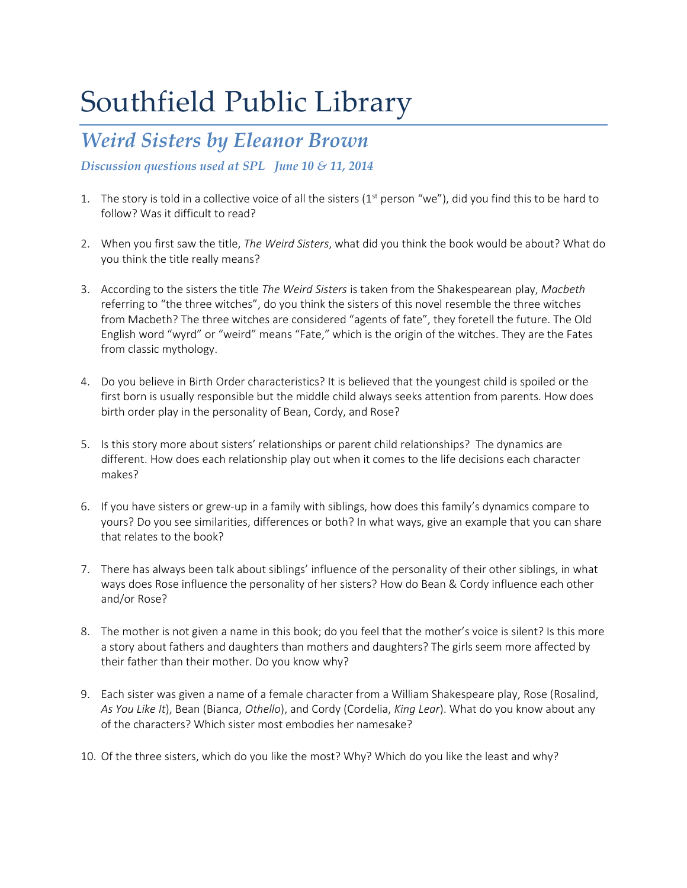# Southfield Public Library

### *Weird Sisters by Eleanor Brown*

*Discussion questions used at SPL June 10 & 11, 2014*

- 1. The story is told in a collective voice of all the sisters ( $1<sup>st</sup>$  person "we"), did you find this to be hard to follow? Was it difficult to read?
- 2. When you first saw the title, *The Weird Sisters*, what did you think the book would be about? What do you think the title really means?
- 3. According to the sisters the title *The Weird Sisters* is taken from the Shakespearean play, *Macbeth* referring to "the three witches", do you think the sisters of this novel resemble the three witches from Macbeth? The three witches are considered "agents of fate", they foretell the future. The Old English word "wyrd" or "weird" means "Fate," which is the origin of the witches. They are the Fates from classic mythology.
- 4. Do you believe in Birth Order characteristics? It is believed that the youngest child is spoiled or the first born is usually responsible but the middle child always seeks attention from parents. How does birth order play in the personality of Bean, Cordy, and Rose?
- 5. Is this story more about sisters' relationships or parent child relationships? The dynamics are different. How does each relationship play out when it comes to the life decisions each character makes?
- 6. If you have sisters or grew-up in a family with siblings, how does this family's dynamics compare to yours? Do you see similarities, differences or both? In what ways, give an example that you can share that relates to the book?
- 7. There has always been talk about siblings' influence of the personality of their other siblings, in what ways does Rose influence the personality of her sisters? How do Bean & Cordy influence each other and/or Rose?
- 8. The mother is not given a name in this book; do you feel that the mother's voice is silent? Is this more a story about fathers and daughters than mothers and daughters? The girls seem more affected by their father than their mother. Do you know why?
- 9. Each sister was given a name of a female character from a William Shakespeare play, Rose (Rosalind, *As You Like It*), Bean (Bianca, *Othello*), and Cordy (Cordelia, *King Lear*). What do you know about any of the characters? Which sister most embodies her namesake?
- 10. Of the three sisters, which do you like the most? Why? Which do you like the least and why?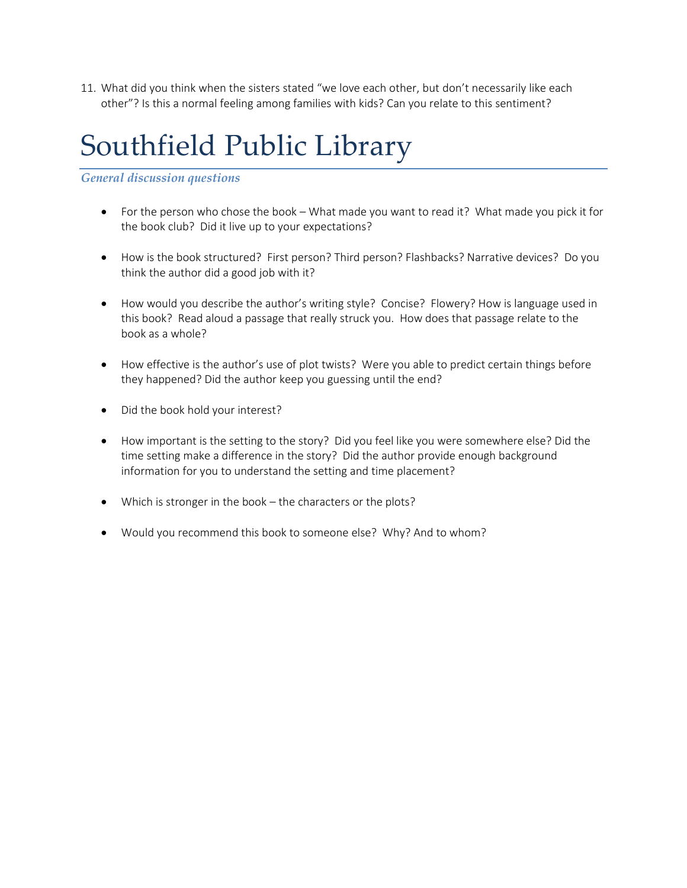11. What did you think when the sisters stated "we love each other, but don't necessarily like each other"? Is this a normal feeling among families with kids? Can you relate to this sentiment?

### Southfield Public Library

#### *General discussion questions*

- For the person who chose the book What made you want to read it? What made you pick it for the book club? Did it live up to your expectations?
- How is the book structured? First person? Third person? Flashbacks? Narrative devices? Do you think the author did a good job with it?
- How would you describe the author's writing style? Concise? Flowery? How is language used in this book? Read aloud a passage that really struck you. How does that passage relate to the book as a whole?
- How effective is the author's use of plot twists? Were you able to predict certain things before they happened? Did the author keep you guessing until the end?
- Did the book hold your interest?
- How important is the setting to the story? Did you feel like you were somewhere else? Did the time setting make a difference in the story? Did the author provide enough background information for you to understand the setting and time placement?
- Which is stronger in the book the characters or the plots?
- Would you recommend this book to someone else? Why? And to whom?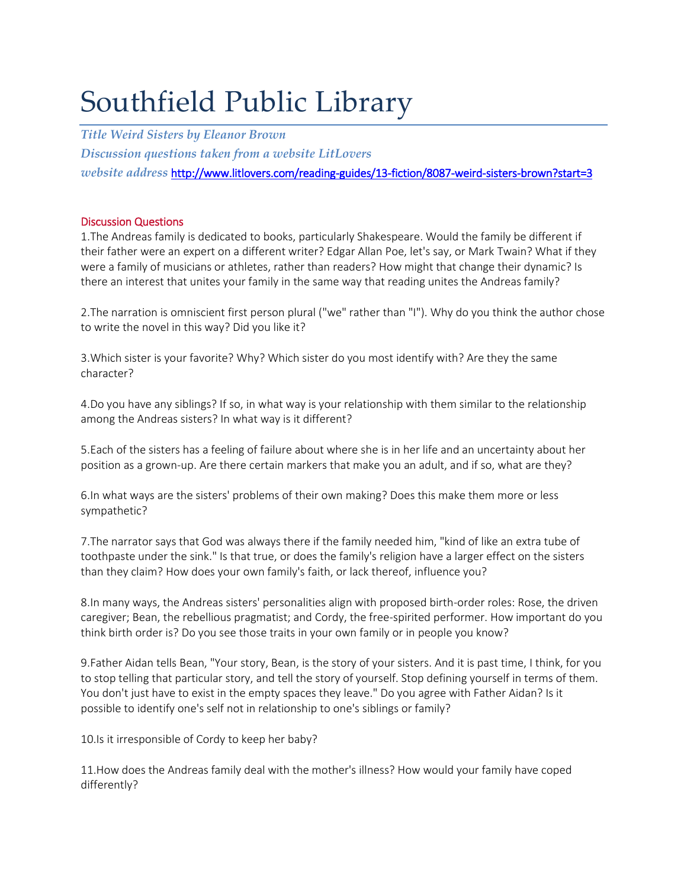# Southfield Public Library

*Title Weird Sisters by Eleanor Brown Discussion questions taken from a website LitLovers website address* <http://www.litlovers.com/reading-guides/13-fiction/8087-weird-sisters-brown?start=3>

#### Discussion Questions

1.The Andreas family is dedicated to books, particularly Shakespeare. Would the family be different if their father were an expert on a different writer? Edgar Allan Poe, let's say, or Mark Twain? What if they were a family of musicians or athletes, rather than readers? How might that change their dynamic? Is there an interest that unites your family in the same way that reading unites the Andreas family?

2.The narration is omniscient first person plural ("we" rather than "I"). Why do you think the author chose to write the novel in this way? Did you like it?

3.Which sister is your favorite? Why? Which sister do you most identify with? Are they the same character?

4.Do you have any siblings? If so, in what way is your relationship with them similar to the relationship among the Andreas sisters? In what way is it different?

5.Each of the sisters has a feeling of failure about where she is in her life and an uncertainty about her position as a grown-up. Are there certain markers that make you an adult, and if so, what are they?

6.In what ways are the sisters' problems of their own making? Does this make them more or less sympathetic?

7.The narrator says that God was always there if the family needed him, "kind of like an extra tube of toothpaste under the sink." Is that true, or does the family's religion have a larger effect on the sisters than they claim? How does your own family's faith, or lack thereof, influence you?

8.In many ways, the Andreas sisters' personalities align with proposed birth-order roles: Rose, the driven caregiver; Bean, the rebellious pragmatist; and Cordy, the free-spirited performer. How important do you think birth order is? Do you see those traits in your own family or in people you know?

9.Father Aidan tells Bean, "Your story, Bean, is the story of your sisters. And it is past time, I think, for you to stop telling that particular story, and tell the story of yourself. Stop defining yourself in terms of them. You don't just have to exist in the empty spaces they leave." Do you agree with Father Aidan? Is it possible to identify one's self not in relationship to one's siblings or family?

10.Is it irresponsible of Cordy to keep her baby?

11.How does the Andreas family deal with the mother's illness? How would your family have coped differently?